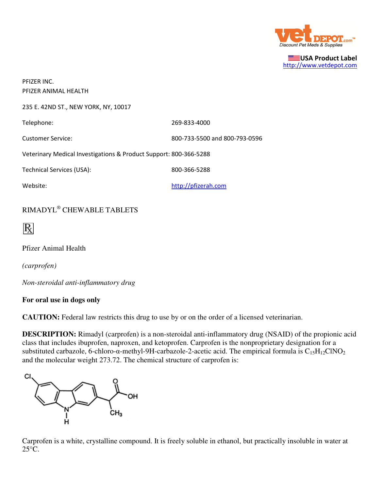

USA Product Label http://www.vetdepot.com

| PFIZER INC.                                                       |                               |  |
|-------------------------------------------------------------------|-------------------------------|--|
| PFIZER ANIMAL HEALTH                                              |                               |  |
| 235 E. 42ND ST., NEW YORK, NY, 10017                              |                               |  |
| Telephone:                                                        | 269-833-4000                  |  |
| <b>Customer Service:</b>                                          | 800-733-5500 and 800-793-0596 |  |
| Veterinary Medical Investigations & Product Support: 800-366-5288 |                               |  |
| Technical Services (USA):                                         | 800-366-5288                  |  |
| Website:                                                          | http://pfizerah.com           |  |
|                                                                   |                               |  |

## RIMADYL® CHEWABLE TABLETS

Pfizer Animal Health

*(carprofen)*

*Non-steroidal anti-inflammatory drug*

## **For oral use in dogs only**

**CAUTION:** Federal law restricts this drug to use by or on the order of a licensed veterinarian.

**DESCRIPTION:** Rimadyl (carprofen) is a non-steroidal anti-inflammatory drug (NSAID) of the propionic acid class that includes ibuprofen, naproxen, and ketoprofen. Carprofen is the nonproprietary designation for a substituted carbazole, 6-chloro- $\alpha$ -methyl-9H-carbazole-2-acetic acid. The empirical formula is  $C_{15}H_{12}CINO_2$ and the molecular weight 273.72. The chemical structure of carprofen is:



Carprofen is a white, crystalline compound. It is freely soluble in ethanol, but practically insoluble in water at 25°C.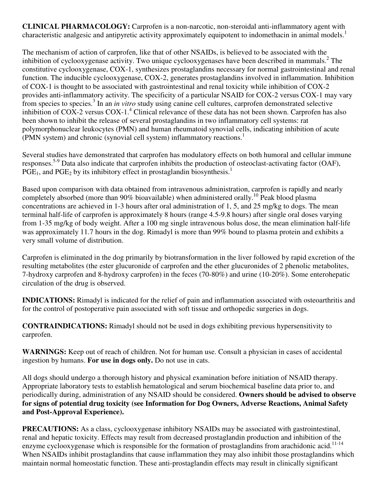**CLINICAL PHARMACOLOGY:** Carprofen is a non-narcotic, non-steroidal anti-inflammatory agent with characteristic analgesic and antipyretic activity approximately equipotent to indomethacin in animal models.<sup>1</sup>

The mechanism of action of carprofen, like that of other NSAIDs, is believed to be associated with the inhibition of cyclooxygenase activity. Two unique cyclooxygenases have been described in mammals.<sup>2</sup> The constitutive cyclooxygenase, COX-1, synthesizes prostaglandins necessary for normal gastrointestinal and renal function. The inducible cyclooxygenase, COX-2, generates prostaglandins involved in inflammation. Inhibition of COX-1 is thought to be associated with gastrointestinal and renal toxicity while inhibition of COX-2 provides anti-inflammatory activity. The specificity of a particular NSAID for COX-2 versus COX-1 may vary from species to species.<sup>3</sup> In an *in vitro* study using canine cell cultures, carprofen demonstrated selective inhibition of  $COX-2$  versus  $COX-1.<sup>4</sup>$  Clinical relevance of these data has not been shown. Carprofen has also been shown to inhibit the release of several prostaglandins in two inflammatory cell systems: rat polymorphonuclear leukocytes (PMN) and human rheumatoid synovial cells, indicating inhibition of acute (PMN system) and chronic (synovial cell system) inflammatory reactions.<sup>1</sup>

Several studies have demonstrated that carprofen has modulatory effects on both humoral and cellular immune responses.5-9 Data also indicate that carprofen inhibits the production of osteoclast-activating factor (OAF),  $PGE<sub>1</sub>$ , and  $PGE<sub>2</sub>$  by its inhibitory effect in prostaglandin biosynthesis.<sup>1</sup>

Based upon comparison with data obtained from intravenous administration, carprofen is rapidly and nearly completely absorbed (more than 90% bioavailable) when administered orally.<sup>10</sup> Peak blood plasma concentrations are achieved in 1-3 hours after oral administration of 1, 5, and 25 mg/kg to dogs. The mean terminal half-life of carprofen is approximately 8 hours (range 4.5-9.8 hours) after single oral doses varying from 1-35 mg/kg of body weight. After a 100 mg single intravenous bolus dose, the mean elimination half-life was approximately 11.7 hours in the dog. Rimadyl is more than 99% bound to plasma protein and exhibits a very small volume of distribution.

Carprofen is eliminated in the dog primarily by biotransformation in the liver followed by rapid excretion of the resulting metabolites (the ester glucuronide of carprofen and the ether glucuronides of 2 phenolic metabolites, 7-hydroxy carprofen and 8-hydroxy carprofen) in the feces (70-80%) and urine (10-20%). Some enterohepatic circulation of the drug is observed.

**INDICATIONS:** Rimadyl is indicated for the relief of pain and inflammation associated with osteoarthritis and for the control of postoperative pain associated with soft tissue and orthopedic surgeries in dogs.

**CONTRAINDICATIONS:** Rimadyl should not be used in dogs exhibiting previous hypersensitivity to carprofen.

**WARNINGS:** Keep out of reach of children. Not for human use. Consult a physician in cases of accidental ingestion by humans. **For use in dogs only.** Do not use in cats.

All dogs should undergo a thorough history and physical examination before initiation of NSAID therapy. Appropriate laboratory tests to establish hematological and serum biochemical baseline data prior to, and periodically during, administration of any NSAID should be considered. **Owners should be advised to observe for signs of potential drug toxicity (see Information for Dog Owners, Adverse Reactions, Animal Safety and Post-Approval Experience).**

**PRECAUTIONS:** As a class, cyclooxygenase inhibitory NSAIDs may be associated with gastrointestinal, renal and hepatic toxicity. Effects may result from decreased prostaglandin production and inhibition of the enzyme cyclooxygenase which is responsible for the formation of prostaglandins from arachidonic acid.<sup>11-14</sup> When NSAIDs inhibit prostaglandins that cause inflammation they may also inhibit those prostaglandins which maintain normal homeostatic function. These anti-prostaglandin effects may result in clinically significant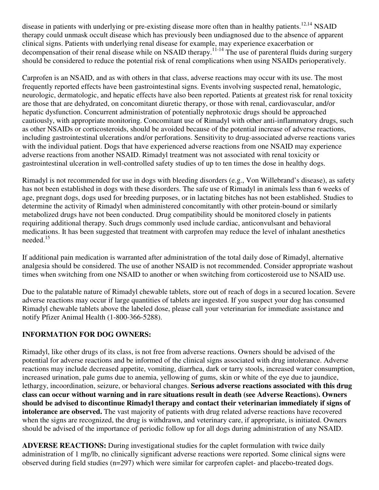disease in patients with underlying or pre-existing disease more often than in healthy patients.<sup>12,14</sup> NSAID therapy could unmask occult disease which has previously been undiagnosed due to the absence of apparent clinical signs. Patients with underlying renal disease for example, may experience exacerbation or decompensation of their renal disease while on NSAID therapy.<sup>11-14</sup> The use of parenteral fluids during surgery should be considered to reduce the potential risk of renal complications when using NSAIDs perioperatively.

Carprofen is an NSAID, and as with others in that class, adverse reactions may occur with its use. The most frequently reported effects have been gastrointestinal signs. Events involving suspected renal, hematologic, neurologic, dermatologic, and hepatic effects have also been reported. Patients at greatest risk for renal toxicity are those that are dehydrated, on concomitant diuretic therapy, or those with renal, cardiovascular, and/or hepatic dysfunction. Concurrent administration of potentially nephrotoxic drugs should be approached cautiously, with appropriate monitoring. Concomitant use of Rimadyl with other anti-inflammatory drugs, such as other NSAIDs or corticosteroids, should be avoided because of the potential increase of adverse reactions, including gastrointestinal ulcerations and/or perforations. Sensitivity to drug-associated adverse reactions varies with the individual patient. Dogs that have experienced adverse reactions from one NSAID may experience adverse reactions from another NSAID. Rimadyl treatment was not associated with renal toxicity or gastrointestinal ulceration in well-controlled safety studies of up to ten times the dose in healthy dogs.

Rimadyl is not recommended for use in dogs with bleeding disorders (e.g., Von Willebrand's disease), as safety has not been established in dogs with these disorders. The safe use of Rimadyl in animals less than 6 weeks of age, pregnant dogs, dogs used for breeding purposes, or in lactating bitches has not been established. Studies to determine the activity of Rimadyl when administered concomitantly with other protein-bound or similarly metabolized drugs have not been conducted. Drug compatibility should be monitored closely in patients requiring additional therapy. Such drugs commonly used include cardiac, anticonvulsant and behavioral medications. It has been suggested that treatment with carprofen may reduce the level of inhalant anesthetics needed.<sup>15</sup>

If additional pain medication is warranted after administration of the total daily dose of Rimadyl, alternative analgesia should be considered. The use of another NSAID is not recommended. Consider appropriate washout times when switching from one NSAID to another or when switching from corticosteroid use to NSAID use.

Due to the palatable nature of Rimadyl chewable tablets, store out of reach of dogs in a secured location. Severe adverse reactions may occur if large quantities of tablets are ingested. If you suspect your dog has consumed Rimadyl chewable tablets above the labeled dose, please call your veterinarian for immediate assistance and notify Pfizer Animal Health (1-800-366-5288).

## **INFORMATION FOR DOG OWNERS:**

Rimadyl, like other drugs of its class, is not free from adverse reactions. Owners should be advised of the potential for adverse reactions and be informed of the clinical signs associated with drug intolerance. Adverse reactions may include decreased appetite, vomiting, diarrhea, dark or tarry stools, increased water consumption, increased urination, pale gums due to anemia, yellowing of gums, skin or white of the eye due to jaundice, lethargy, incoordination, seizure, or behavioral changes. **Serious adverse reactions associated with this drug class can occur without warning and in rare situations result in death (see Adverse Reactions). Owners should be advised to discontinue Rimadyl therapy and contact their veterinarian immediately if signs of intolerance are observed.** The vast majority of patients with drug related adverse reactions have recovered when the signs are recognized, the drug is withdrawn, and veterinary care, if appropriate, is initiated. Owners should be advised of the importance of periodic follow up for all dogs during administration of any NSAID.

**ADVERSE REACTIONS:** During investigational studies for the caplet formulation with twice daily administration of 1 mg/lb, no clinically significant adverse reactions were reported. Some clinical signs were observed during field studies (n=297) which were similar for carprofen caplet- and placebo-treated dogs.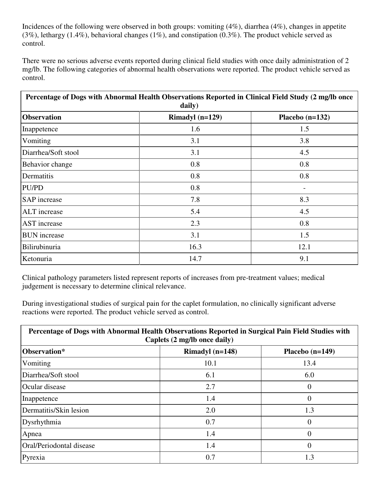Incidences of the following were observed in both groups: vomiting (4%), diarrhea (4%), changes in appetite (3%), lethargy (1.4%), behavioral changes (1%), and constipation (0.3%). The product vehicle served as control.

There were no serious adverse events reported during clinical field studies with once daily administration of 2 mg/lb. The following categories of abnormal health observations were reported. The product vehicle served as control.

| Percentage of Dogs with Abnormal Health Observations Reported in Clinical Field Study (2 mg/lb once<br>daily) |                   |                   |  |  |
|---------------------------------------------------------------------------------------------------------------|-------------------|-------------------|--|--|
| <b>Observation</b>                                                                                            | Rimadyl $(n=129)$ | Placebo $(n=132)$ |  |  |
| Inappetence                                                                                                   | 1.6               | 1.5               |  |  |
| Vomiting                                                                                                      | 3.1               | 3.8               |  |  |
| Diarrhea/Soft stool                                                                                           | 3.1               | 4.5               |  |  |
| Behavior change                                                                                               | 0.8               | 0.8               |  |  |
| Dermatitis                                                                                                    | 0.8               | 0.8               |  |  |
| PU/PD                                                                                                         | 0.8               |                   |  |  |
| <b>SAP</b> increase                                                                                           | 7.8               | 8.3               |  |  |
| <b>ALT</b> increase                                                                                           | 5.4               | 4.5               |  |  |
| <b>AST</b> increase                                                                                           | 2.3               | 0.8               |  |  |
| <b>BUN</b> increase                                                                                           | 3.1               | 1.5               |  |  |
| Bilirubinuria                                                                                                 | 16.3              | 12.1              |  |  |
| Ketonuria                                                                                                     | 14.7              | 9.1               |  |  |

Clinical pathology parameters listed represent reports of increases from pre-treatment values; medical judgement is necessary to determine clinical relevance.

During investigational studies of surgical pain for the caplet formulation, no clinically significant adverse reactions were reported. The product vehicle served as control.

| Percentage of Dogs with Abnormal Health Observations Reported in Surgical Pain Field Studies with<br>Caplets (2 mg/lb once daily) |                   |                   |  |
|-----------------------------------------------------------------------------------------------------------------------------------|-------------------|-------------------|--|
| Observation*                                                                                                                      | Rimadyl $(n=148)$ | Placebo $(n=149)$ |  |
| Vomiting                                                                                                                          | 10.1              | 13.4              |  |
| Diarrhea/Soft stool                                                                                                               | 6.1               | 6.0               |  |
| Ocular disease                                                                                                                    | 2.7               | 0                 |  |
| Inappetence                                                                                                                       | 1.4               | 0                 |  |
| Dermatitis/Skin lesion                                                                                                            | 2.0               | 1.3               |  |
| Dysrhythmia                                                                                                                       | 0.7               | 0                 |  |
| Apnea                                                                                                                             | 1.4               | $\theta$          |  |
| Oral/Periodontal disease                                                                                                          | 1.4               | $\overline{0}$    |  |
| Pyrexia                                                                                                                           | 0.7               | 1.3               |  |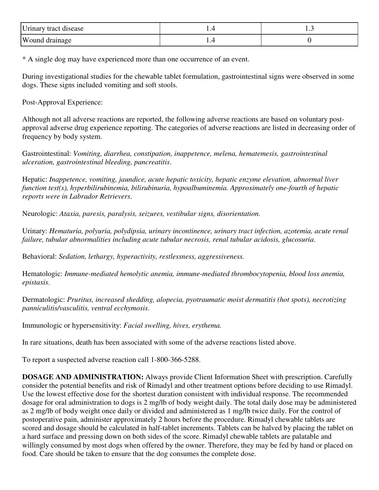| Urinary tract disease |  |
|-----------------------|--|
| <b>Wound drainage</b> |  |

\* A single dog may have experienced more than one occurrence of an event.

During investigational studies for the chewable tablet formulation, gastrointestinal signs were observed in some dogs. These signs included vomiting and soft stools.

Post-Approval Experience:

Although not all adverse reactions are reported, the following adverse reactions are based on voluntary postapproval adverse drug experience reporting. The categories of adverse reactions are listed in decreasing order of frequency by body system.

Gastrointestinal: *Vomiting, diarrhea, constipation, inappetence, melena, hematemesis, gastrointestinal ulceration, gastrointestinal bleeding, pancreatitis*.

Hepatic: *Inappetence, vomiting, jaundice, acute hepatic toxicity, hepatic enzyme elevation, abnormal liver function test(s), hyperbilirubinemia, bilirubinuria, hypoalbuminemia. Approximately one-fourth of hepatic reports were in Labrador Retrievers*.

Neurologic: *Ataxia, paresis, paralysis, seizures, vestibular signs, disorientation.*

Urinary: *Hematuria, polyuria, polydipsia, urinary incontinence, urinary tract infection, azotemia, acute renal failure, tubular abnormalities including acute tubular necrosis, renal tubular acidosis, glucosuria*.

Behavioral: *Sedation, lethargy, hyperactivity, restlessness, aggressiveness.*

Hematologic: *Immune-mediated hemolytic anemia, immune-mediated thrombocytopenia, blood loss anemia, epistaxis*.

Dermatologic: *Pruritus, increased shedding, alopecia, pyotraumatic moist dermatitis (hot spots), necrotizing panniculitis/vasculitis, ventral ecchymosis*.

Immunologic or hypersensitivity: *Facial swelling, hives, erythema.*

In rare situations, death has been associated with some of the adverse reactions listed above.

To report a suspected adverse reaction call 1-800-366-5288.

**DOSAGE AND ADMINISTRATION:** Always provide Client Information Sheet with prescription. Carefully consider the potential benefits and risk of Rimadyl and other treatment options before deciding to use Rimadyl. Use the lowest effective dose for the shortest duration consistent with individual response. The recommended dosage for oral administration to dogs is 2 mg/lb of body weight daily. The total daily dose may be administered as 2 mg/lb of body weight once daily or divided and administered as 1 mg/lb twice daily. For the control of postoperative pain, administer approximately 2 hours before the procedure. Rimadyl chewable tablets are scored and dosage should be calculated in half-tablet increments. Tablets can be halved by placing the tablet on a hard surface and pressing down on both sides of the score. Rimadyl chewable tablets are palatable and willingly consumed by most dogs when offered by the owner. Therefore, they may be fed by hand or placed on food. Care should be taken to ensure that the dog consumes the complete dose.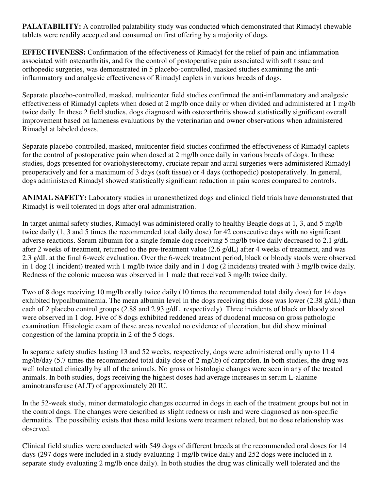**PALATABILITY:** A controlled palatability study was conducted which demonstrated that Rimadyl chewable tablets were readily accepted and consumed on first offering by a majority of dogs.

**EFFECTIVENESS:** Confirmation of the effectiveness of Rimadyl for the relief of pain and inflammation associated with osteoarthritis, and for the control of postoperative pain associated with soft tissue and orthopedic surgeries, was demonstrated in 5 placebo-controlled, masked studies examining the antiinflammatory and analgesic effectiveness of Rimadyl caplets in various breeds of dogs.

Separate placebo-controlled, masked, multicenter field studies confirmed the anti-inflammatory and analgesic effectiveness of Rimadyl caplets when dosed at 2 mg/lb once daily or when divided and administered at 1 mg/lb twice daily. In these 2 field studies, dogs diagnosed with osteoarthritis showed statistically significant overall improvement based on lameness evaluations by the veterinarian and owner observations when administered Rimadyl at labeled doses.

Separate placebo-controlled, masked, multicenter field studies confirmed the effectiveness of Rimadyl caplets for the control of postoperative pain when dosed at 2 mg/lb once daily in various breeds of dogs. In these studies, dogs presented for ovariohysterectomy, cruciate repair and aural surgeries were administered Rimadyl preoperatively and for a maximum of 3 days (soft tissue) or 4 days (orthopedic) postoperatively. In general, dogs administered Rimadyl showed statistically significant reduction in pain scores compared to controls.

**ANIMAL SAFETY:** Laboratory studies in unanesthetized dogs and clinical field trials have demonstrated that Rimadyl is well tolerated in dogs after oral administration.

In target animal safety studies, Rimadyl was administered orally to healthy Beagle dogs at 1, 3, and 5 mg/lb twice daily (1, 3 and 5 times the recommended total daily dose) for 42 consecutive days with no significant adverse reactions. Serum albumin for a single female dog receiving 5 mg/lb twice daily decreased to 2.1 g/dL after 2 weeks of treatment, returned to the pre-treatment value (2.6 g/dL) after 4 weeks of treatment, and was 2.3 g/dL at the final 6-week evaluation. Over the 6-week treatment period, black or bloody stools were observed in 1 dog (1 incident) treated with 1 mg/lb twice daily and in 1 dog (2 incidents) treated with 3 mg/lb twice daily. Redness of the colonic mucosa was observed in 1 male that received 3 mg/lb twice daily.

Two of 8 dogs receiving 10 mg/lb orally twice daily (10 times the recommended total daily dose) for 14 days exhibited hypoalbuminemia. The mean albumin level in the dogs receiving this dose was lower (2.38 g/dL) than each of 2 placebo control groups (2.88 and 2.93 g/dL, respectively). Three incidents of black or bloody stool were observed in 1 dog. Five of 8 dogs exhibited reddened areas of duodenal mucosa on gross pathologic examination. Histologic exam of these areas revealed no evidence of ulceration, but did show minimal congestion of the lamina propria in 2 of the 5 dogs.

In separate safety studies lasting 13 and 52 weeks, respectively, dogs were administered orally up to 11.4 mg/lb/day (5.7 times the recommended total daily dose of 2 mg/lb) of carprofen. In both studies, the drug was well tolerated clinically by all of the animals. No gross or histologic changes were seen in any of the treated animals. In both studies, dogs receiving the highest doses had average increases in serum L-alanine aminotransferase (ALT) of approximately 20 IU.

In the 52-week study, minor dermatologic changes occurred in dogs in each of the treatment groups but not in the control dogs. The changes were described as slight redness or rash and were diagnosed as non-specific dermatitis. The possibility exists that these mild lesions were treatment related, but no dose relationship was observed.

Clinical field studies were conducted with 549 dogs of different breeds at the recommended oral doses for 14 days (297 dogs were included in a study evaluating 1 mg/lb twice daily and 252 dogs were included in a separate study evaluating 2 mg/lb once daily). In both studies the drug was clinically well tolerated and the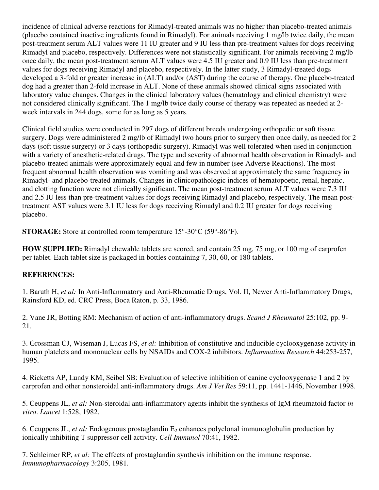incidence of clinical adverse reactions for Rimadyl-treated animals was no higher than placebo-treated animals (placebo contained inactive ingredients found in Rimadyl). For animals receiving 1 mg/lb twice daily, the mean post-treatment serum ALT values were 11 IU greater and 9 IU less than pre-treatment values for dogs receiving Rimadyl and placebo, respectively. Differences were not statistically significant. For animals receiving 2 mg/lb once daily, the mean post-treatment serum ALT values were 4.5 IU greater and 0.9 IU less than pre-treatment values for dogs receiving Rimadyl and placebo, respectively. In the latter study, 3 Rimadyl-treated dogs developed a 3-fold or greater increase in (ALT) and/or (AST) during the course of therapy. One placebo-treated dog had a greater than 2-fold increase in ALT. None of these animals showed clinical signs associated with laboratory value changes. Changes in the clinical laboratory values (hematology and clinical chemistry) were not considered clinically significant. The 1 mg/lb twice daily course of therapy was repeated as needed at 2 week intervals in 244 dogs, some for as long as 5 years.

Clinical field studies were conducted in 297 dogs of different breeds undergoing orthopedic or soft tissue surgery. Dogs were administered 2 mg/lb of Rimadyl two hours prior to surgery then once daily, as needed for 2 days (soft tissue surgery) or 3 days (orthopedic surgery). Rimadyl was well tolerated when used in conjunction with a variety of anesthetic-related drugs. The type and severity of abnormal health observation in Rimadyl- and placebo-treated animals were approximately equal and few in number (see Adverse Reactions). The most frequent abnormal health observation was vomiting and was observed at approximately the same frequency in Rimadyl- and placebo-treated animals. Changes in clinicopathologic indices of hematopoetic, renal, hepatic, and clotting function were not clinically significant. The mean post-treatment serum ALT values were 7.3 IU and 2.5 IU less than pre-treatment values for dogs receiving Rimadyl and placebo, respectively. The mean posttreatment AST values were 3.1 IU less for dogs receiving Rimadyl and 0.2 IU greater for dogs receiving placebo.

**STORAGE:** Store at controlled room temperature 15°-30°C (59°-86°F).

**HOW SUPPLIED:** Rimadyl chewable tablets are scored, and contain 25 mg, 75 mg, or 100 mg of carprofen per tablet. Each tablet size is packaged in bottles containing 7, 30, 60, or 180 tablets.

## **REFERENCES:**

1. Baruth H, *et al:* In Anti-Inflammatory and Anti-Rheumatic Drugs, Vol. II, Newer Anti-Inflammatory Drugs, Rainsford KD, ed. CRC Press, Boca Raton, p. 33, 1986.

2. Vane JR, Botting RM: Mechanism of action of anti-inflammatory drugs. *Scand J Rheumatol* 25:102, pp. 9- 21.

3. Grossman CJ, Wiseman J, Lucas FS, *et al:* Inhibition of constitutive and inducible cyclooxygenase activity in human platelets and mononuclear cells by NSAIDs and COX-2 inhibitors. *Inflammation Research* 44:253-257, 1995.

4. Ricketts AP, Lundy KM, Seibel SB: Evaluation of selective inhibition of canine cyclooxygenase 1 and 2 by carprofen and other nonsteroidal anti-inflammatory drugs. *Am J Vet Res* 59:11, pp. 1441-1446, November 1998.

5. Ceuppens JL, *et al:* Non-steroidal anti-inflammatory agents inhibit the synthesis of IgM rheumatoid factor *in vitro*. *Lancet* 1:528, 1982.

6. Ceuppens JL, *et al:* Endogenous prostaglandin E<sub>2</sub> enhances polyclonal immunoglobulin production by ionically inhibiting T suppressor cell activity. *Cell Immunol* 70:41, 1982.

7. Schleimer RP, *et al:* The effects of prostaglandin synthesis inhibition on the immune response. *Immunopharmacology* 3:205, 1981.